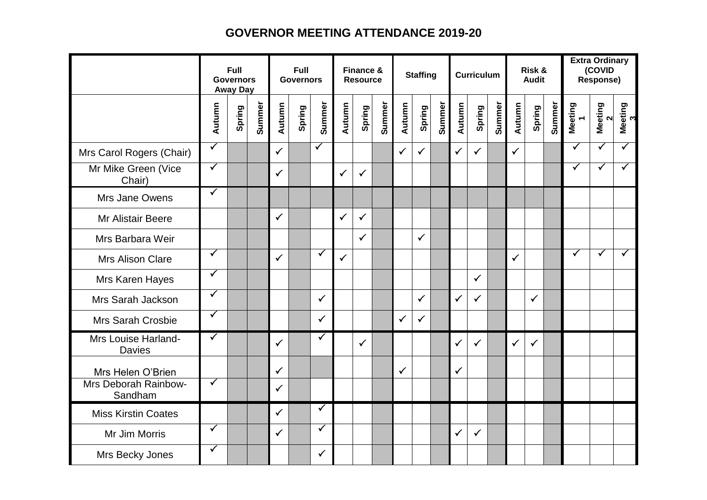## **GOVERNOR MEETING ATTENDANCE 2019-20**

|                                                      | Full<br><b>Governors</b><br><b>Away Day</b> |        |        | Full<br><b>Governors</b> |        |                      | <b>Finance &amp;</b><br><b>Resource</b> |              |        | <b>Staffing</b> |              |        | <b>Curriculum</b> |              |        | Risk &<br><b>Audit</b> |              |        | <b>Extra Ordinary</b><br>(COVID<br>Response) |                         |                         |
|------------------------------------------------------|---------------------------------------------|--------|--------|--------------------------|--------|----------------------|-----------------------------------------|--------------|--------|-----------------|--------------|--------|-------------------|--------------|--------|------------------------|--------------|--------|----------------------------------------------|-------------------------|-------------------------|
|                                                      | Autumn                                      | Spring | Summer | Autumn                   | Spring | Summer               | Autumn                                  | Spring       | Summer | Autumn          | Spring       | Summer | Autumn            | Spring       | Summer | Autumn                 | Spring       | Summer | Meeting<br>1                                 | Meeting<br>$\sim$       | Meeting<br>3            |
| Mrs Carol Rogers (Chair)                             | $\overline{\checkmark}$                     |        |        | $\checkmark$             |        | $\blacktriangledown$ |                                         |              |        | $\checkmark$    | $\checkmark$ |        | $\checkmark$      | $\checkmark$ |        | $\checkmark$           |              |        | ✓                                            | $\overline{\checkmark}$ | $\overline{\checkmark}$ |
| Mr Mike Green (Vice<br>Chair)                        | $\blacktriangledown$                        |        |        | $\checkmark$             |        |                      | $\checkmark$                            | $\checkmark$ |        |                 |              |        |                   |              |        |                        |              |        | $\blacktriangledown$                         | $\blacktriangledown$    | $\overline{\checkmark}$ |
| Mrs Jane Owens                                       | $\checkmark$                                |        |        |                          |        |                      |                                         |              |        |                 |              |        |                   |              |        |                        |              |        |                                              |                         |                         |
| Mr Alistair Beere                                    |                                             |        |        | $\checkmark$             |        |                      | $\checkmark$                            | $\checkmark$ |        |                 |              |        |                   |              |        |                        |              |        |                                              |                         |                         |
| Mrs Barbara Weir                                     |                                             |        |        |                          |        |                      |                                         | $\checkmark$ |        |                 | $\checkmark$ |        |                   |              |        |                        |              |        |                                              |                         |                         |
| Mrs Alison Clare                                     | ✓                                           |        |        | $\checkmark$             |        | $\checkmark$         | $\checkmark$                            |              |        |                 |              |        |                   |              |        | $\checkmark$           |              |        | $\checkmark$                                 | $\checkmark$            | $\checkmark$            |
| Mrs Karen Hayes                                      | $\checkmark$                                |        |        |                          |        |                      |                                         |              |        |                 |              |        |                   | $\checkmark$ |        |                        |              |        |                                              |                         |                         |
| Mrs Sarah Jackson                                    | $\checkmark$                                |        |        |                          |        | $\checkmark$         |                                         |              |        |                 | $\checkmark$ |        | $\checkmark$      | $\checkmark$ |        |                        | $\checkmark$ |        |                                              |                         |                         |
| Mrs Sarah Crosbie                                    | $\checkmark$                                |        |        |                          |        | $\checkmark$         |                                         |              |        | $\checkmark$    | $\checkmark$ |        |                   |              |        |                        |              |        |                                              |                         |                         |
| Mrs Louise Harland-<br><b>Davies</b>                 | $\blacktriangledown$                        |        |        | $\checkmark$             |        | $\checkmark$         |                                         | ✓            |        |                 |              |        | $\checkmark$      | $\checkmark$ |        | $\checkmark$           | $\checkmark$ |        |                                              |                         |                         |
| Mrs Helen O'Brien<br>Mrs Deborah Rainbow-<br>Sandham | $\blacktriangledown$                        |        |        | ✓<br>✓                   |        |                      |                                         |              |        | ✓               |              |        | $\checkmark$      |              |        |                        |              |        |                                              |                         |                         |
| <b>Miss Kirstin Coates</b>                           |                                             |        |        | $\checkmark$             |        | $\checkmark$         |                                         |              |        |                 |              |        |                   |              |        |                        |              |        |                                              |                         |                         |
| Mr Jim Morris                                        | $\overline{\checkmark}$                     |        |        | $\checkmark$             |        | $\blacktriangledown$ |                                         |              |        |                 |              |        | $\checkmark$      | $\checkmark$ |        |                        |              |        |                                              |                         |                         |
| Mrs Becky Jones                                      | $\checkmark$                                |        |        |                          |        | $\checkmark$         |                                         |              |        |                 |              |        |                   |              |        |                        |              |        |                                              |                         |                         |